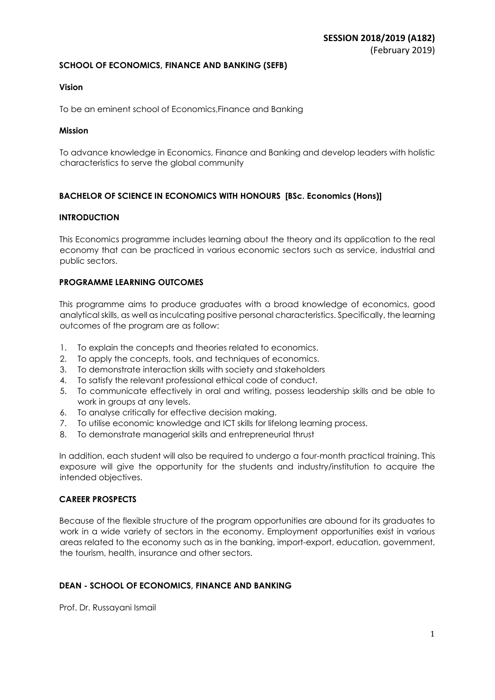## **SCHOOL OF ECONOMICS, FINANCE AND BANKING (SEFB)**

## **Vision**

To be an eminent school of Economics,Finance and Banking

## **Mission**

To advance knowledge in Economics, Finance and Banking and develop leaders with holistic characteristics to serve the global community

## **BACHELOR OF SCIENCE IN ECONOMICS WITH HONOURS [BSc. Economics (Hons)]**

## **INTRODUCTION**

This Economics programme includes learning about the theory and its application to the real economy that can be practiced in various economic sectors such as service, industrial and public sectors.

## **PROGRAMME LEARNING OUTCOMES**

This programme aims to produce graduates with a broad knowledge of economics, good analytical skills, as well as inculcating positive personal characteristics. Specifically, the learning outcomes of the program are as follow:

- 1. To explain the concepts and theories related to economics.
- 2. To apply the concepts, tools, and techniques of economics.
- 3. To demonstrate interaction skills with society and stakeholders
- 4. To satisfy the relevant professional ethical code of conduct.
- 5. To communicate effectively in oral and writing, possess leadership skills and be able to work in groups at any levels.
- 6. To analyse critically for effective decision making.
- 7. To utilise economic knowledge and ICT skills for lifelong learning process.
- 8. To demonstrate managerial skills and entrepreneurial thrust

In addition, each student will also be required to undergo a four-month practical training. This exposure will give the opportunity for the students and industry/institution to acquire the intended objectives.

## **CAREER PROSPECTS**

Because of the flexible structure of the program opportunities are abound for its graduates to work in a wide variety of sectors in the economy. Employment opportunities exist in various areas related to the economy such as in the banking, import-export, education, government, the tourism, health, insurance and other sectors.

## **DEAN - SCHOOL OF ECONOMICS, FINANCE AND BANKING**

Prof. Dr. Russayani Ismail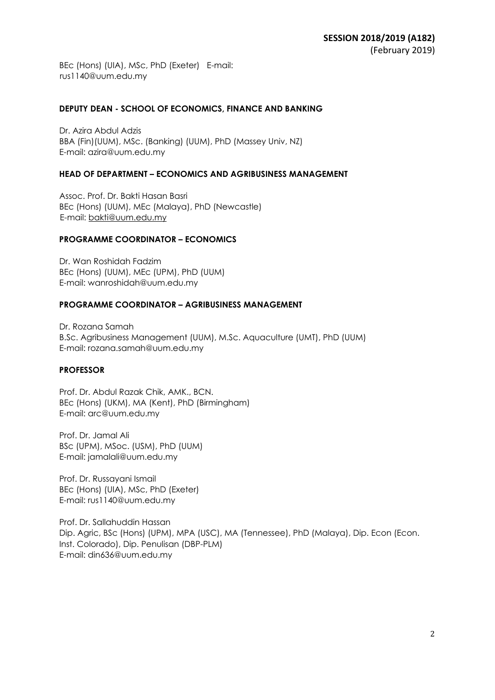BEc (Hons) (UIA), MSc, PhD (Exeter) E-mail: rus1140@uum.edu.my

#### **DEPUTY DEAN - SCHOOL OF ECONOMICS, FINANCE AND BANKING**

Dr. Azira Abdul Adzis BBA (Fin)(UUM), MSc. (Banking) (UUM), PhD (Massey Univ, NZ) E-mail: azira@uum.edu.my

#### **HEAD OF DEPARTMENT – ECONOMICS AND AGRIBUSINESS MANAGEMENT**

Assoc. Prof. Dr. Bakti Hasan Basri BEc (Hons) (UUM), MEc (Malaya), PhD (Newcastle) E-mail: bakti@uum.edu.my

#### **PROGRAMME COORDINATOR – ECONOMICS**

Dr. Wan Roshidah Fadzim BEc (Hons) (UUM), MEc (UPM), PhD (UUM) E-mail: wanroshidah@uum.edu.my

#### **PROGRAMME COORDINATOR – AGRIBUSINESS MANAGEMENT**

Dr. Rozana Samah B.Sc. Agribusiness Management (UUM), M.Sc. Aquaculture (UMT), PhD (UUM) E-mail: rozana.samah@uum.edu.my

## **PROFESSOR**

Prof. Dr. Abdul Razak Chik, AMK., BCN. BEc (Hons) (UKM), MA (Kent), PhD (Birmingham) E-mail: arc@uum.edu.my

Prof. Dr. Jamal Ali BSc (UPM), MSoc. (USM), PhD (UUM) E-mail: jamalali@uum.edu.my

Prof. Dr. Russayani Ismail BEc (Hons) (UIA), MSc, PhD (Exeter) E-mail: rus1140@uum.edu.my

Prof. Dr. Sallahuddin Hassan Dip. Agric, BSc (Hons) (UPM), MPA (USC), MA (Tennessee), PhD (Malaya), Dip. Econ (Econ. Inst. Colorado), Dip. Penulisan (DBP-PLM) E-mail: din636@uum.edu.my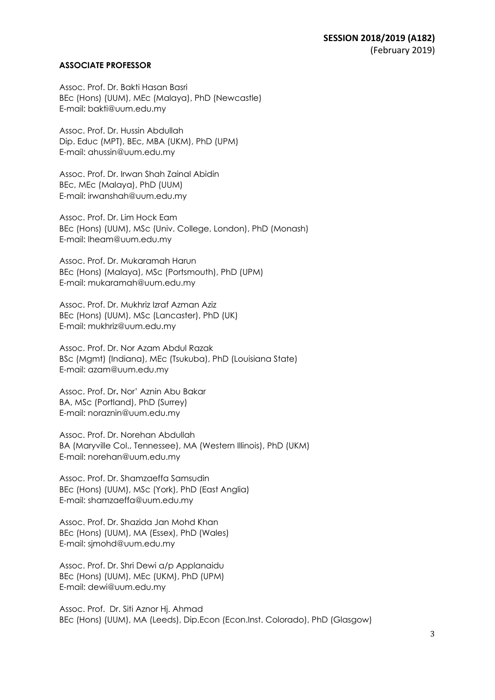### **ASSOCIATE PROFESSOR**

Assoc. Prof. Dr. Bakti Hasan Basri BEc (Hons) (UUM), MEc (Malaya), PhD (Newcastle) E-mail: bakti@uum.edu.my

Assoc. Prof. Dr. Hussin Abdullah Dip. Educ (MPT), BEc, MBA (UKM), PhD (UPM) E-mail: ahussin@uum.edu.my

Assoc. Prof. Dr. Irwan Shah Zainal Abidin BEc, MEc (Malaya), PhD (UUM) E-mail: irwanshah@uum.edu.my

Assoc. Prof. Dr. Lim Hock Eam BEc (Hons) (UUM), MSc (Univ. College, London), PhD (Monash) E-mail: lheam@uum.edu.my

Assoc. Prof. Dr. Mukaramah Harun BEc (Hons) (Malaya), MSc (Portsmouth), PhD (UPM) E-mail: mukaramah@uum.edu.my

Assoc. Prof. Dr. Mukhriz Izraf Azman Aziz BEc (Hons) (UUM), MSc (Lancaster), PhD (UK) E-mail: mukhriz@uum.edu.my

Assoc. Prof. Dr. Nor Azam Abdul Razak BSc (Mgmt) (Indiana), MEc (Tsukuba), PhD (Louisiana State) E-mail: azam@uum.edu.my

Assoc. Prof. Dr**.** Nor' Aznin Abu Bakar BA, MSc (Portland), PhD (Surrey) E-mail: noraznin@uum.edu.my

Assoc. Prof. Dr. Norehan Abdullah BA (Maryville Col., Tennessee), MA (Western Illinois), PhD (UKM) E-mail: norehan@uum.edu.my

Assoc. Prof. Dr. Shamzaeffa Samsudin BEc (Hons) (UUM), MSc (York), PhD (East Anglia) E-mail: shamzaeffa@uum.edu.my

Assoc. Prof. Dr. Shazida Jan Mohd Khan BEc (Hons) (UUM), MA (Essex), PhD (Wales) E-mail: sjmohd@uum.edu.my

Assoc. Prof. Dr. Shri Dewi a/p Applanaidu BEc (Hons) (UUM), MEc (UKM), PhD (UPM) E-mail: dewi@uum.edu.my

Assoc. Prof. Dr. Siti Aznor Hj. Ahmad BEc (Hons) (UUM), MA (Leeds), Dip.Econ (Econ.Inst. Colorado), PhD (Glasgow)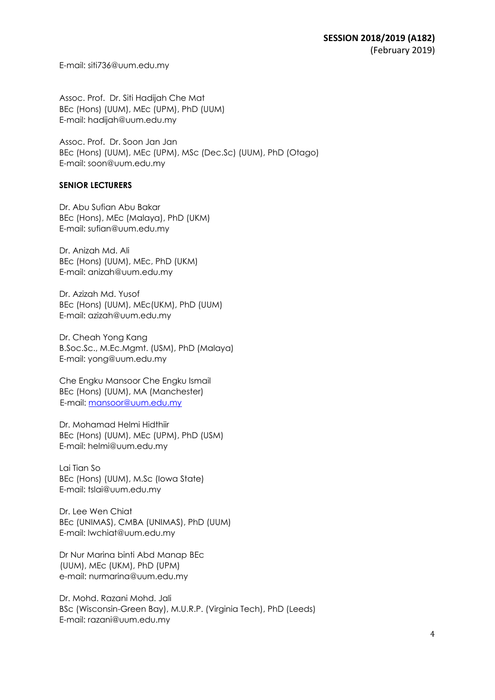E-mail: siti736@uum.edu.my

Assoc. Prof. Dr. Siti Hadijah Che Mat BEc (Hons) (UUM), MEc (UPM), PhD (UUM) E-mail: hadijah@uum.edu.my

Assoc. Prof. Dr. Soon Jan Jan BEc (Hons) (UUM), MEc (UPM), MSc (Dec.Sc) (UUM), PhD (Otago) E-mail: soon@uum.edu.my

## **SENIOR LECTURERS**

Dr. Abu Sufian Abu Bakar BEc (Hons), MEc (Malaya), PhD (UKM) E-mail: sufian@uum.edu.my

Dr. Anizah Md. Ali BEc (Hons) (UUM), MEc, PhD (UKM) E-mail: anizah@uum.edu.my

Dr. Azizah Md. Yusof BEc (Hons) (UUM), MEc(UKM), PhD (UUM) E-mail: azizah@uum.edu.my

Dr. Cheah Yong Kang B.Soc.Sc., M.Ec.Mgmt. (USM), PhD (Malaya) E-mail: yong@uum.edu.my

Che Engku Mansoor Che Engku Ismail BEc (Hons) (UUM), MA (Manchester) E-mail: mansoor@uum.edu.my

Dr. Mohamad Helmi Hidthiir BEc (Hons) (UUM), MEc (UPM), PhD (USM) E-mail: helmi@uum.edu.my

Lai Tian So BEc (Hons) (UUM), M.Sc (Iowa State) E-mail: tslai@uum.edu.my

Dr. Lee Wen Chiat BEc (UNIMAS), CMBA (UNIMAS), PhD (UUM) E-mail: lwchiat@uum.edu.my

Dr Nur Marina binti Abd Manap BEc (UUM), MEc (UKM), PhD (UPM) e-mail: nurmarina@uum.edu.my

Dr. Mohd. Razani Mohd. Jali BSc (Wisconsin-Green Bay), M.U.R.P. (Virginia Tech), PhD (Leeds) E-mail: razani@uum.edu.my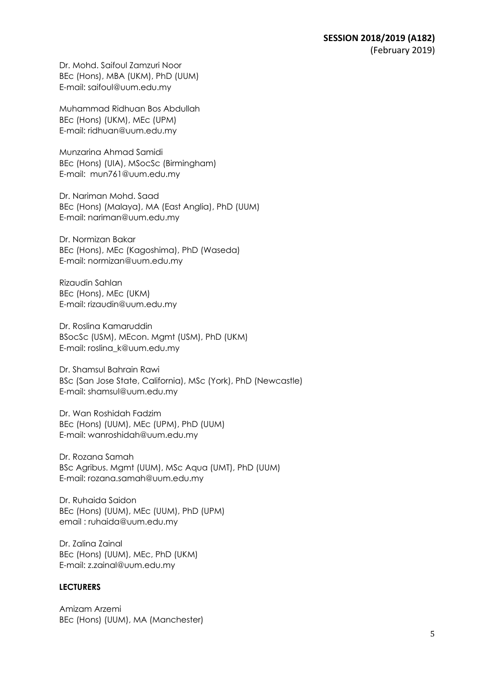Dr. Mohd. Saifoul Zamzuri Noor BEc (Hons), MBA (UKM), PhD (UUM) E-mail: saifoul@uum.edu.my

Muhammad Ridhuan Bos Abdullah BEc (Hons) (UKM), MEc (UPM) E-mail: ridhuan@uum.edu.my

Munzarina Ahmad Samidi BEc (Hons) (UIA), MSocSc (Birmingham) E-mail: mun761@uum.edu.my

Dr. Nariman Mohd. Saad BEc (Hons) (Malaya), MA (East Anglia), PhD (UUM) E-mail: nariman@uum.edu.my

Dr. Normizan Bakar BEc (Hons), MEc (Kagoshima), PhD (Waseda) E-mail: normizan@uum.edu.my

Rizaudin Sahlan BEc (Hons), MEc (UKM) E-mail: rizaudin@uum.edu.my

Dr. Roslina Kamaruddin BSocSc (USM), MEcon. Mgmt (USM), PhD (UKM) E-mail: roslina\_k@uum.edu.my

Dr. Shamsul Bahrain Rawi BSc (San Jose State, California), MSc (York), PhD (Newcastle) E-mail: shamsul@uum.edu.my

Dr. Wan Roshidah Fadzim BEc (Hons) (UUM), MEc (UPM), PhD (UUM) E-mail: wanroshidah@uum.edu.my

Dr. Rozana Samah BSc Agribus. Mgmt (UUM), MSc Aqua (UMT), PhD (UUM) E-mail: rozana.samah@uum.edu.my

Dr. Ruhaida Saidon BEc (Hons) (UUM), MEc (UUM), PhD (UPM) email : ruhaida@uum.edu.my

Dr. Zalina Zainal BEc (Hons) (UUM), MEc, PhD (UKM) E-mail: z.zainal@uum.edu.my

## **LECTURERS**

Amizam Arzemi BEc (Hons) (UUM), MA (Manchester)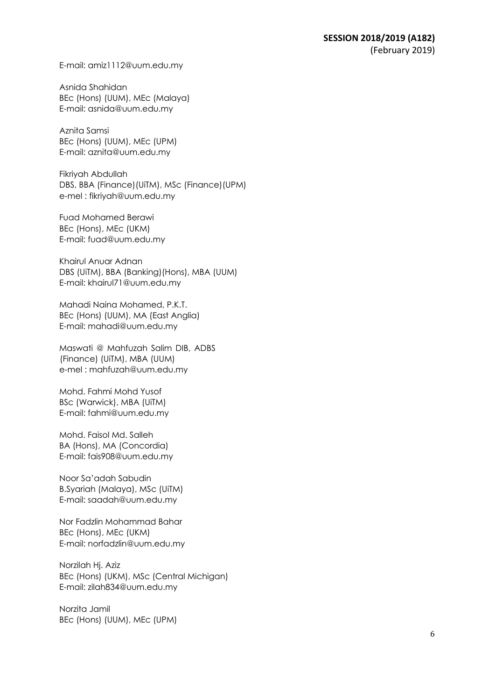E-mail: amiz1112@uum.edu.my

Asnida Shahidan BEc (Hons) (UUM), MEc (Malaya) E-mail: asnida@uum.edu.my

Aznita Samsi BEc (Hons) (UUM), MEc (UPM) E-mail: aznita@uum.edu.my

Fikriyah Abdullah DBS, BBA (Finance)(UiTM), MSc (Finance)(UPM) e-mel : fikriyah@uum.edu.my

Fuad Mohamed Berawi BEc (Hons), MEc (UKM) E-mail: fuad@uum.edu.my

Khairul Anuar Adnan DBS (UiTM), BBA (Banking)(Hons), MBA (UUM) E-mail: khairul71@uum.edu.my

Mahadi Naina Mohamed, P.K.T. BEc (Hons) (UUM), MA (East Anglia) E-mail: mahadi@uum.edu.my

Maswati @ Mahfuzah Salim DIB, ADBS (Finance) (UiTM), MBA (UUM) e-mel : mahfuzah@uum.edu.my

Mohd. Fahmi Mohd Yusof BSc (Warwick), MBA (UiTM) E-mail: fahmi@uum.edu.my

Mohd. Faisol Md. Salleh BA (Hons), MA (Concordia) E-mail: fais908@uum.edu.my

Noor Sa'adah Sabudin B.Syariah (Malaya), MSc (UiTM) E-mail: saadah@uum.edu.my

Nor Fadzlin Mohammad Bahar BEc (Hons), MEc (UKM) E-mail: norfadzlin@uum.edu.my

Norzilah Hj. Aziz BEc (Hons) (UKM), MSc (Central Michigan) E-mail: zilah834@uum.edu.my

Norzita Jamil BEc (Hons) (UUM), MEc (UPM)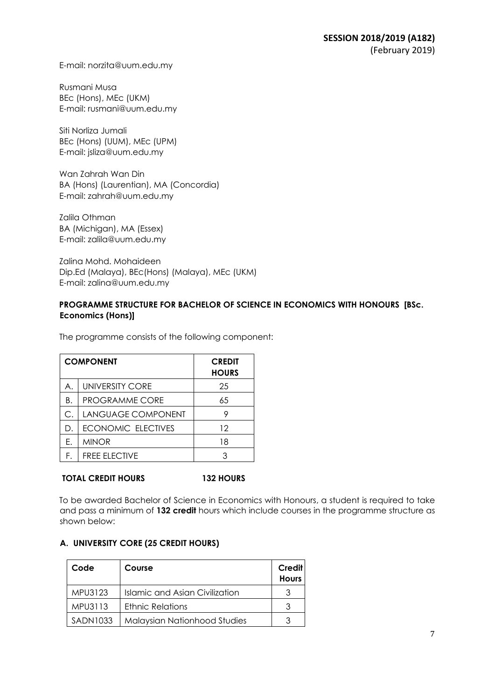E-mail: norzita@uum.edu.my

Rusmani Musa BEc (Hons), MEc (UKM) E-mail: rusmani@uum.edu.my

Siti Norliza Jumali BEc (Hons) (UUM), MEc (UPM) E-mail: jsliza@uum.edu.my

Wan Zahrah Wan Din BA (Hons) (Laurentian), MA (Concordia) E-mail: zahrah@uum.edu.my

Zalila Othman BA (Michigan), MA (Essex) E-mail: zalila@uum.edu.my

Zalina Mohd. Mohaideen Dip.Ed (Malaya), BEc(Hons) (Malaya), MEc (UKM) E-mail: zalina@uum.edu.my

## **PROGRAMME STRUCTURE FOR BACHELOR OF SCIENCE IN ECONOMICS WITH HONOURS [BSc. Economics (Hons)]**

The programme consists of the following component:

|    | <b>COMPONENT</b>          | <b>CREDIT</b><br><b>HOURS</b> |
|----|---------------------------|-------------------------------|
| Α. | UNIVERSITY CORE           | 25                            |
| Β. | <b>PROGRAMME CORE</b>     | 65                            |
| С. | LANGUAGE COMPONENT        |                               |
| D. | <b>ECONOMIC ELECTIVES</b> | 12                            |
| Е. | <b>MINOR</b>              | 18                            |
| F. | <b>FREE ELECTIVE</b>      |                               |

## **TOTAL CREDIT HOURS 132 HOURS**

To be awarded Bachelor of Science in Economics with Honours, a student is required to take and pass a minimum of **132 credit** hours which include courses in the programme structure as shown below:

## **A. UNIVERSITY CORE (25 CREDIT HOURS)**

| Code     | Course                              | <b>Credit</b><br><b>Hours</b> |
|----------|-------------------------------------|-------------------------------|
| MPU3123  | Islamic and Asian Civilization      |                               |
| MPU3113  | <b>Ethnic Relations</b>             |                               |
| SADN1033 | <b>Malaysian Nationhood Studies</b> |                               |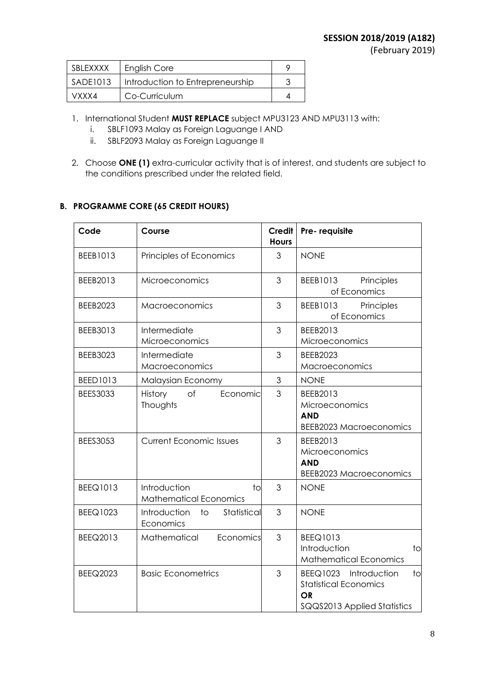| SBLEXXXX | <b>English Core</b>              |  |
|----------|----------------------------------|--|
| SADE1013 | Introduction to Entrepreneurship |  |
| VXXX4    | Co-Curriculum                    |  |

- 1. International Student **MUST REPLACE** subject MPU3123 AND MPU3113 with:
	- i. SBLF1093 Malay as Foreign Laguange I AND
	- ii. SBLF2093 Malay as Foreign Laguange II
- 2. Choose **ONE (1)** extra-curricular activity that is of interest, and students are subject to the conditions prescribed under the related field.

## **B. PROGRAMME CORE (65 CREDIT HOURS)**

| Code            | Course                                                             | <b>Credit</b><br><b>Hours</b> | Pre-requisite                                                                                                       |
|-----------------|--------------------------------------------------------------------|-------------------------------|---------------------------------------------------------------------------------------------------------------------|
| BEEB1013        | Principles of Economics                                            | 3                             | <b>NONE</b>                                                                                                         |
| BEEB2013        | Microeconomics                                                     | 3                             | BEEB1013<br>Principles<br>of Economics                                                                              |
| <b>BEEB2023</b> | Macroeconomics                                                     | 3                             | BEEB1013<br>Principles<br>of Economics                                                                              |
| BEEB3013        | Intermediate<br>Microeconomics                                     | 3                             | BEEB2013<br>Microeconomics                                                                                          |
| <b>BEEB3023</b> | Intermediate<br>Macroeconomics                                     | 3                             | <b>BEEB2023</b><br>Macroeconomics                                                                                   |
| <b>BEED1013</b> | Malaysian Economy                                                  | 3                             | <b>NONE</b>                                                                                                         |
| <b>BEES3033</b> | History<br>$\circ$ f<br>Economic<br>Thoughts                       | 3                             | BEEB2013<br>Microeconomics<br><b>AND</b><br><b>BEEB2023 Macroeconomics</b>                                          |
| <b>BEES3053</b> | <b>Current Economic Issues</b>                                     | 3                             | BEEB2013<br>Microeconomics<br><b>AND</b><br><b>BEEB2023 Macroeconomics</b>                                          |
| <b>BEEQ1013</b> | Introduction<br>1 <sub>O</sub><br><b>Mathematical Economics</b>    | 3                             | <b>NONE</b>                                                                                                         |
| <b>BEEQ1023</b> | Introduction<br>Statistical<br>$\overline{\text{to}}$<br>Economics | 3                             | <b>NONE</b>                                                                                                         |
| BEEQ2013        | Economics<br>Mathematical                                          | 3                             | <b>BEEQ1013</b><br>Introduction<br>to<br><b>Mathematical Economics</b>                                              |
| <b>BEEQ2023</b> | <b>Basic Econometrics</b>                                          | 3                             | BEEQ1023 Introduction<br>1 <sub>O</sub><br><b>Statistical Economics</b><br><b>OR</b><br>SQQS2013 Applied Statistics |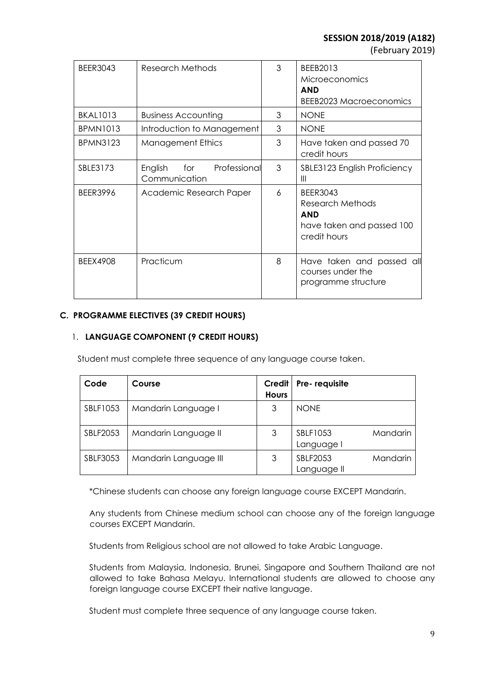(February 2019)

| <b>BEER3043</b> | <b>Research Methods</b>                         | 3 | BEEB2013<br><b>Microeconomics</b><br><b>AND</b><br><b>BEEB2023 Macroeconomics</b>              |
|-----------------|-------------------------------------------------|---|------------------------------------------------------------------------------------------------|
| <b>BKAL1013</b> | <b>Business Accounting</b>                      | 3 | <b>NONE</b>                                                                                    |
| <b>BPMN1013</b> | Introduction to Management                      | 3 | <b>NONE</b>                                                                                    |
| <b>BPMN3123</b> | <b>Management Ethics</b>                        | 3 | Have taken and passed 70<br>credit hours                                                       |
| SBLE3173        | English<br>for<br>Professional<br>Communication | 3 | SBLE3123 English Proficiency<br>Ш                                                              |
| <b>BEER3996</b> | Academic Research Paper                         | 6 | <b>BEER3043</b><br>Research Methods<br><b>AND</b><br>have taken and passed 100<br>credit hours |
| <b>BEEX4908</b> | Practicum                                       | 8 | Have taken and passed all<br>courses under the<br>programme structure                          |

## **C. PROGRAMME ELECTIVES (39 CREDIT HOURS)**

## 1. **LANGUAGE COMPONENT (9 CREDIT HOURS)**

Student must complete three sequence of any language course taken.

| Code     | Course                | Credit<br><b>Hours</b> | Pre-requisite                       |
|----------|-----------------------|------------------------|-------------------------------------|
| SBLF1053 | Mandarin Language I   | 3                      | <b>NONE</b>                         |
| SBLF2053 | Mandarin Language II  | 3                      | SBLF1053<br>Mandarin<br>Language I  |
| SBLF3053 | Mandarin Language III | 3                      | SBLF2053<br>Mandarin<br>Language II |

\*Chinese students can choose any foreign language course EXCEPT Mandarin.

Any students from Chinese medium school can choose any of the foreign language courses EXCEPT Mandarin.

Students from Religious school are not allowed to take Arabic Language.

Students from Malaysia, Indonesia, Brunei, Singapore and Southern Thailand are not allowed to take Bahasa Melayu. International students are allowed to choose any foreign language course EXCEPT their native language.

Student must complete three sequence of any language course taken.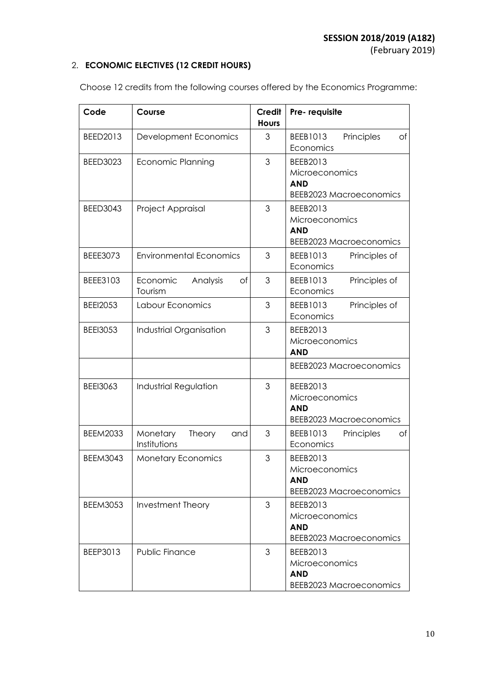## 2. **ECONOMIC ELECTIVES (12 CREDIT HOURS)**

| Code            | Course                                    | Credit<br><b>Hours</b> | Pre-requisite                                                              |
|-----------------|-------------------------------------------|------------------------|----------------------------------------------------------------------------|
| BEED2013        | Development Economics                     | 3                      | Principles<br>BEEB1013<br>Оf<br>Economics                                  |
| <b>BEED3023</b> | <b>Economic Planning</b>                  | 3                      | BEEB2013<br>Microeconomics<br><b>AND</b><br><b>BEEB2023 Macroeconomics</b> |
| <b>BEED3043</b> | Project Appraisal                         | 3                      | BEEB2013<br>Microeconomics<br><b>AND</b><br><b>BEEB2023 Macroeconomics</b> |
| <b>BEEE3073</b> | <b>Environmental Economics</b>            | 3                      | BEEB1013<br>Principles of<br>Economics                                     |
| BEEE3103        | Analysis<br>Economic<br>Оf<br>Tourism     | 3                      | Principles of<br>BEEB1013<br>Economics                                     |
| <b>BEEI2053</b> | Labour Economics                          | 3                      | Principles of<br>BEEB1013<br>Economics                                     |
| <b>BEEI3053</b> | Industrial Organisation                   | 3                      | BEEB2013<br>Microeconomics<br><b>AND</b>                                   |
|                 |                                           |                        | <b>BEEB2023 Macroeconomics</b>                                             |
| <b>BEEI3063</b> | <b>Industrial Regulation</b>              | 3                      | BEEB2013<br>Microeconomics<br><b>AND</b><br><b>BEEB2023 Macroeconomics</b> |
| <b>BEEM2033</b> | Monetary<br>Theory<br>and<br>Institutions | 3                      | Principles<br>BEEB1013<br>Оf<br>Economics                                  |
| <b>BEEM3043</b> | <b>Monetary Economics</b>                 | 3                      | BEEB2013<br>Microeconomics<br><b>AND</b><br><b>BEEB2023 Macroeconomics</b> |
| <b>BEEM3053</b> | Investment Theory                         | 3                      | BEEB2013<br>Microeconomics<br><b>AND</b><br><b>BEEB2023 Macroeconomics</b> |
| BEEP3013        | Public Finance                            | 3                      | BEEB2013<br>Microeconomics<br><b>AND</b><br><b>BEEB2023 Macroeconomics</b> |

Choose 12 credits from the following courses offered by the Economics Programme: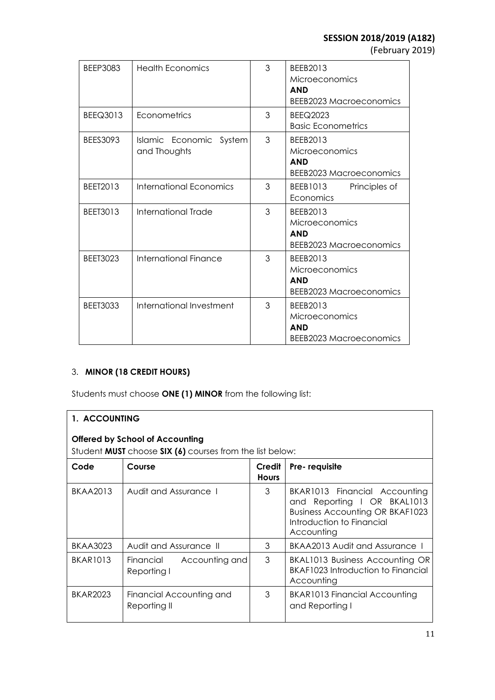(February 2019)

| BEEP3083        | <b>Health Economics</b>                 | 3 | BEEB2013<br>Microeconomics<br><b>AND</b><br><b>BEEB2023 Macroeconomics</b> |
|-----------------|-----------------------------------------|---|----------------------------------------------------------------------------|
| BEEQ3013        | Econometrics                            | 3 | <b>BEEQ2023</b><br><b>Basic Econometrics</b>                               |
| <b>BEES3093</b> | Islamic Economic System<br>and Thoughts | 3 | BEEB2013<br>Microeconomics<br><b>AND</b><br><b>BEEB2023 Macroeconomics</b> |
| BEET2013        | <b>International Economics</b>          | 3 | BEEB1013<br>Principles of<br>Economics                                     |
| <b>BEET3013</b> | International Trade                     | 3 | BEEB2013<br>Microeconomics<br><b>AND</b><br><b>BEEB2023 Macroeconomics</b> |
| <b>BEET3023</b> | International Finance                   | 3 | BEEB2013<br>Microeconomics<br><b>AND</b><br><b>BEEB2023 Macroeconomics</b> |
| <b>BEET3033</b> | International Investment                | 3 | BEEB2013<br>Microeconomics<br><b>AND</b><br><b>BEEB2023 Macroeconomics</b> |

# 3. **MINOR (18 CREDIT HOURS)**

Students must choose **ONE (1) MINOR** from the following list:

| 1. ACCOUNTING                                                                                                    |                                            |                        |                                                                                                                                                   |  |
|------------------------------------------------------------------------------------------------------------------|--------------------------------------------|------------------------|---------------------------------------------------------------------------------------------------------------------------------------------------|--|
| <b>Offered by School of Accounting</b><br>Student <b>MUST</b> choose <b>SIX (6)</b> courses from the list below: |                                            |                        |                                                                                                                                                   |  |
| Code                                                                                                             | Course                                     | Credit<br><b>Hours</b> | Pre-requisite                                                                                                                                     |  |
| <b>BKAA2013</b>                                                                                                  | Audit and Assurance 1                      | 3                      | BKAR1013 Financial Accounting<br>and Reporting I OR BKAL1013<br><b>Business Accounting OR BKAF1023</b><br>Introduction to Financial<br>Accounting |  |
| <b>BKAA3023</b>                                                                                                  | Audit and Assurance II                     | 3                      | BKAA2013 Audit and Assurance 1                                                                                                                    |  |
| <b>BKAR1013</b>                                                                                                  | Financial<br>Accounting and<br>Reporting I | 3                      | BKAL1013 Business Accounting OR<br>BKAF1023 Introduction to Financial<br>Accounting                                                               |  |
| <b>BKAR2023</b>                                                                                                  | Financial Accounting and<br>Reporting II   | 3                      | BKAR1013 Financial Accounting<br>and Reporting I                                                                                                  |  |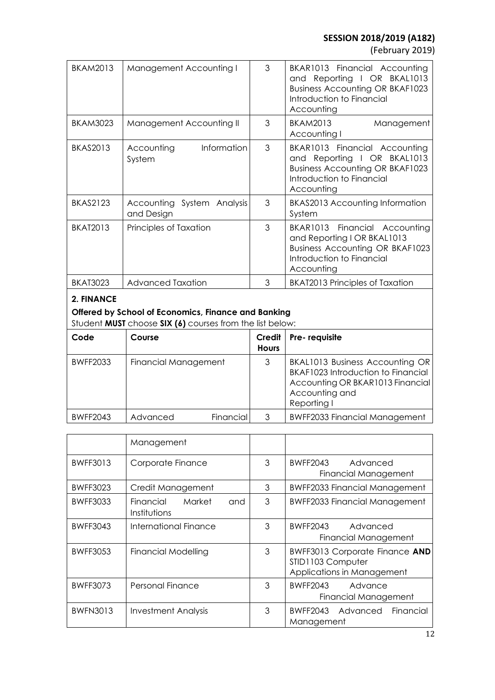(February 2019)

| <b>BKAM2013</b> | Management Accounting I                  | 3 | BKAR1013 Financial Accounting<br>and Reporting I OR BKAL1013<br><b>Business Accounting OR BKAF1023</b><br>Introduction to Financial<br>Accounting |  |
|-----------------|------------------------------------------|---|---------------------------------------------------------------------------------------------------------------------------------------------------|--|
| <b>BKAM3023</b> | Management Accounting II                 | 3 | <b>BKAM2013</b><br>Management<br>Accounting I                                                                                                     |  |
| <b>BKAS2013</b> | Information<br>Accounting<br>System      | 3 | BKAR1013 Financial Accounting<br>and Reporting I OR BKAL1013<br><b>Business Accounting OR BKAF1023</b><br>Introduction to Financial<br>Accounting |  |
| <b>BKAS2123</b> | Accounting System Analysis<br>and Design | 3 | <b>BKAS2013 Accounting Information</b><br>System                                                                                                  |  |
| <b>BKAT2013</b> | Principles of Taxation                   | 3 | BKAR1013 Financial Accounting<br>and Reporting I OR BKAL1013<br><b>Business Accounting OR BKAF1023</b><br>Introduction to Financial<br>Accounting |  |
| <b>BKAT3023</b> | Advanced Taxation                        | 3 | <b>BKAT2013 Principles of Taxation</b>                                                                                                            |  |
| 2. FINANCE      |                                          |   |                                                                                                                                                   |  |

# **Offered by School of Economics, Finance and Banking**

Student **MUST** choose **SIX (6)** courses from the list below:

| Code            | Course                      | Credit<br><b>Hours</b> | Pre-requisite                                                                                                                                     |
|-----------------|-----------------------------|------------------------|---------------------------------------------------------------------------------------------------------------------------------------------------|
| <b>BWFF2033</b> | <b>Financial Management</b> |                        | BKAL1013 Business Accounting OR<br><b>BKAF1023 Introduction to Financial</b><br>Accounting OR BKAR1013 Financial<br>Accounting and<br>Reporting I |
| <b>BWFF2043</b> | Financial<br>Advanced       | 3                      | <b>BWFF2033 Financial Management</b>                                                                                                              |

|                 | Management                                 |   |                                                                                          |
|-----------------|--------------------------------------------|---|------------------------------------------------------------------------------------------|
| <b>BWFF3013</b> | Corporate Finance                          | 3 | BWFF2043<br>Advanced<br><b>Financial Management</b>                                      |
| <b>BWFF3023</b> | Credit Management                          | 3 | BWFF2033 Financial Management                                                            |
| <b>BWFF3033</b> | Financial<br>Market<br>and<br>Institutions | 3 | <b>BWFF2033 Financial Management</b>                                                     |
| <b>BWFF3043</b> | International Finance                      | 3 | BWFF2043<br>Advanced<br>Financial Management                                             |
| <b>BWFF3053</b> | Financial Modelling                        | 3 | <b>BWFF3013 Corporate Finance AND</b><br>STID1103 Computer<br>Applications in Management |
| <b>BWFF3073</b> | <b>Personal Finance</b>                    | 3 | BWFF2043<br>Advance<br>Financial Management                                              |
| <b>BWFN3013</b> | Investment Analysis                        | 3 | BWFF2043 Advanced Financial<br>Management                                                |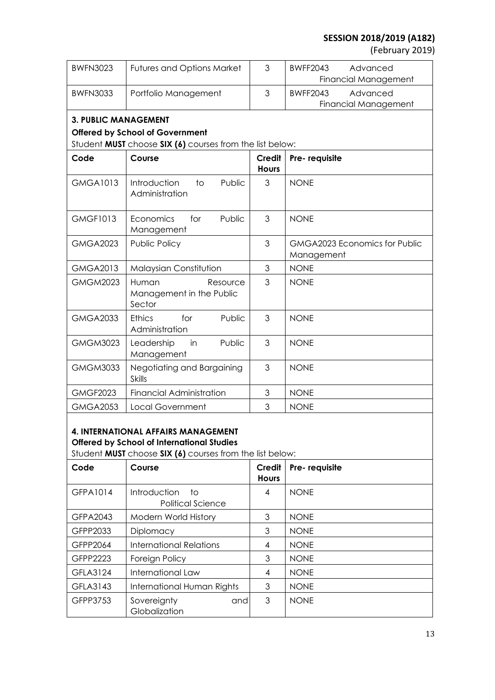(February 2019)

| <b>BWFN3023</b>             | <b>Futures and Options Market</b>                        | 3                      | <b>BWFF2043</b><br>Advanced<br><b>Financial Management</b> |
|-----------------------------|----------------------------------------------------------|------------------------|------------------------------------------------------------|
| <b>BWFN3033</b>             | Portfolio Management                                     | 3                      | <b>BWFF2043</b><br>Advanced<br>Financial Management        |
| <b>3. PUBLIC MANAGEMENT</b> |                                                          |                        |                                                            |
|                             | <b>Offered by School of Government</b>                   |                        |                                                            |
|                             | Student MUST choose SIX (6) courses from the list below: |                        |                                                            |
| Code                        | Course                                                   | Credit<br><b>Hours</b> | Pre-requisite                                              |
| <b>GMGA1013</b>             | Introduction<br>Public<br>to<br>Administration           | 3                      | <b>NONE</b>                                                |
| <b>GMGF1013</b>             | Public<br>Economics<br>for<br>Management                 | 3                      | <b>NONE</b>                                                |
| <b>GMGA2023</b>             | Public Policy                                            | 3                      | GMGA2023 Economics for Public<br>Management                |
| <b>GMGA2013</b>             | Malaysian Constitution                                   | 3                      | <b>NONE</b>                                                |
| <b>GMGM2023</b>             | Human<br>Resource<br>Management in the Public<br>Sector  | 3                      | <b>NONE</b>                                                |
| <b>GMGA2033</b>             | <b>Ethics</b><br>for<br>Public<br>Administration         | 3                      | <b>NONE</b>                                                |
| <b>GMGM3023</b>             | Public<br>Leadership<br>in<br>Management                 | 3                      | <b>NONE</b>                                                |
| <b>GMGM3033</b>             | Negotiating and Bargaining<br><b>Skills</b>              | 3                      | <b>NONE</b>                                                |
| <b>GMGF2023</b>             | <b>Financial Administration</b>                          | 3                      | <b>NONE</b>                                                |
| <b>GMGA2053</b>             | <b>Local Government</b>                                  | 3                      | <b>NONE</b>                                                |

# **4. INTERNATIONAL AFFAIRS MANAGEMENT Offered by School of International Studies**

Student **MUST** choose **SIX (6)** courses from the list below:

| Code            | Course                                                | Credit<br><b>Hours</b> | Pre-requisite |
|-----------------|-------------------------------------------------------|------------------------|---------------|
| GFPA1014        | <b>Introduction</b><br>to<br><b>Political Science</b> | 4                      | <b>NONE</b>   |
| <b>GFPA2043</b> | Modern World History                                  | 3                      | <b>NONE</b>   |
| GFPP2033        | Diplomacy                                             | 3                      | <b>NONE</b>   |
| GFPP2064        | <b>International Relations</b>                        | 4                      | <b>NONE</b>   |
| GFPP2223        | Foreign Policy                                        | 3                      | <b>NONE</b>   |
| <b>GFLA3124</b> | International Law                                     | 4                      | <b>NONE</b>   |
| GFLA3143        | International Human Rights                            | 3                      | <b>NONE</b>   |
| GFPP3753        | Sovereignty<br>andl<br>Globalization                  | 3                      | <b>NONE</b>   |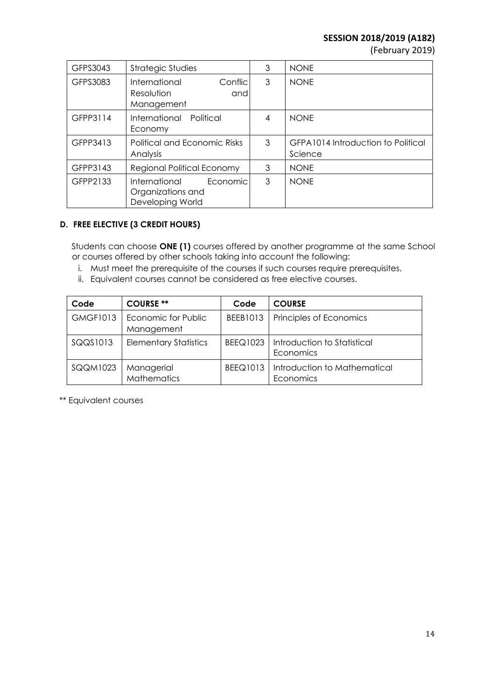(February 2019)

| GFPS3043 | <b>Strategic Studies</b>                                           | 3 | <b>NONE</b>                                   |
|----------|--------------------------------------------------------------------|---|-----------------------------------------------|
| GFPS3083 | International<br>Conflic<br>Resolution<br>and<br>Management        | 3 | <b>NONE</b>                                   |
| GFPP3114 | International<br>Political<br>Economy                              | 4 | <b>NONE</b>                                   |
| GFPP3413 | <b>Political and Economic Risks</b><br>Analysis                    | 3 | GFPA1014 Introduction to Political<br>Science |
| GFPP3143 | Regional Political Economy                                         | 3 | <b>NONE</b>                                   |
| GFPP2133 | International<br>Economic<br>Organizations and<br>Developing World | 3 | <b>NONE</b>                                   |

## **D. FREE ELECTIVE (3 CREDIT HOURS)**

Students can choose **ONE (1)** courses offered by another programme at the same School or courses offered by other schools taking into account the following:

- i. Must meet the prerequisite of the courses if such courses require prerequisites.
- ii. Equivalent courses cannot be considered as free elective courses.

| Code            | <b>COURSE **</b>                  | Code     | <b>COURSE</b>                              |
|-----------------|-----------------------------------|----------|--------------------------------------------|
| <b>GMGF1013</b> | Economic for Public<br>Management | BEEB1013 | Principles of Economics                    |
| SQQS1013        | <b>Elementary Statistics</b>      | BEEQ1023 | I Introduction to Statistical<br>Economics |
| SQQM1023        | Managerial<br><b>Mathematics</b>  | BEEQ1013 | Introduction to Mathematical<br>Economics  |

\*\* Equivalent courses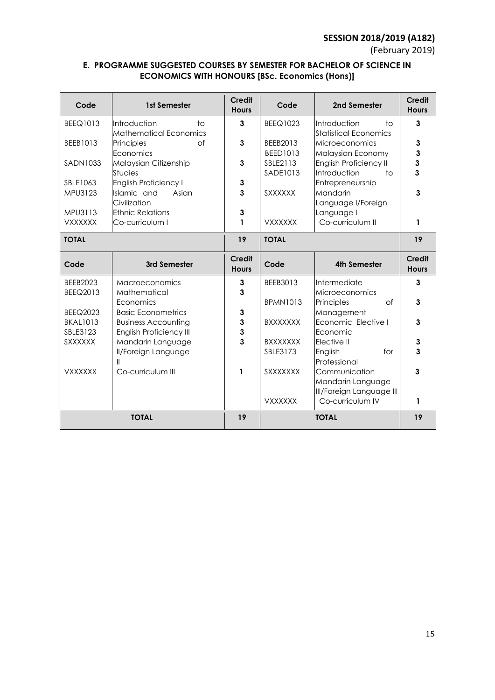(February 2019)

## **E. PROGRAMME SUGGESTED COURSES BY SEMESTER FOR BACHELOR OF SCIENCE IN ECONOMICS WITH HONOURS [BSc. Economics (Hons)]**

| Code                               | 1st Semester                                                         | Credit<br><b>Hours</b>        | Code                        | 2nd Semester                                                    | <b>Credit</b><br><b>Hours</b> |
|------------------------------------|----------------------------------------------------------------------|-------------------------------|-----------------------------|-----------------------------------------------------------------|-------------------------------|
| <b>BEEQ1013</b>                    | Introduction<br>$\diamond$<br><b>Mathematical Economics</b>          | 3                             | BEEQ1023                    | Introduction<br>tο<br><b>Statistical Economics</b>              | 3                             |
| BEEB1013                           | of<br>Principles<br>Economics                                        | 3                             | BEEB2013<br><b>BEED1013</b> | <b>Microeconomics</b><br>Malaysian Economy                      | 3<br>3                        |
| SADN1033                           | Malaysian Citizenship<br><b>Studies</b>                              | 3                             | SBLE2113<br>SADE1013        | <b>English Proficiency II</b><br>Introduction<br>$\overline{1}$ | 3<br>3                        |
| SBLE1063<br>MPU3123                | <b>English Proficiency I</b><br>Islamic and<br>Asian<br>Civilization | 3<br>3                        | <b>SXXXXXX</b>              | Entrepreneurship<br>Mandarin<br>Language I/Foreign              | 3                             |
| MPU3113<br><b>VXXXXXX</b>          | <b>Ethnic Relations</b><br>Co-curriculum I                           | 3<br>1                        | <b>VXXXXXX</b>              | Language I<br>Co-curriculum II                                  | 1                             |
| <b>TOTAL</b>                       |                                                                      | 19                            | <b>TOTAL</b>                |                                                                 | 19                            |
| Code                               | 3rd Semester                                                         | <b>Credit</b><br><b>Hours</b> | Code                        | <b>4th Semester</b>                                             | <b>Credit</b><br><b>Hours</b> |
| <b>BEEB2023</b><br><b>BEEQ2013</b> | <b>Macroeconomics</b><br>Mathematical                                | 3<br>3                        | BEEB3013                    | Intermediate<br>Microeconomics                                  | 3                             |
| <b>BEEQ2023</b>                    | Economics<br><b>Basic Econometrics</b>                               | 3                             | <b>BPMN1013</b>             | Principles<br>$\circ$ f<br>Management                           | 3                             |
| <b>BKAL1013</b><br>SBLE3123        | <b>Business Accounting</b><br><b>English Proficiency III</b>         | 3<br>3                        | <b>BXXXXXXX</b>             | Economic Elective I<br>Economic                                 | 3                             |
| <b>SXXXXXX</b>                     | Mandarin Language<br><b>II/Foreign Language</b><br>$\mathsf{I}$      | 3                             | <b>BXXXXXXX</b><br>SBLE3173 | Elective II<br>English<br>for<br>Professional                   | 3<br>3                        |
| <b>VXXXXXX</b>                     | Co-curriculum III                                                    | 1                             | SXXXXXXX                    | Communication<br>Mandarin Language<br>III/Foreign Language III  | 3                             |
| <b>TOTAL</b>                       |                                                                      | 19                            | <b>VXXXXXX</b>              | Co-curriculum IV<br><b>TOTAL</b>                                | 1<br>19                       |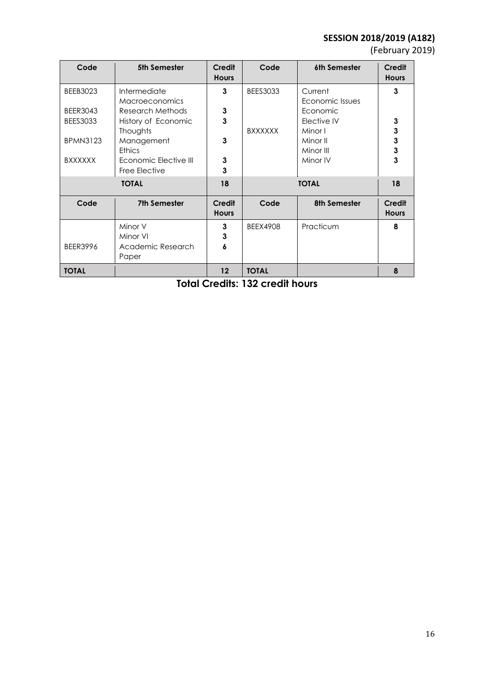(February 2019)

| Code            | 5th Semester          | <b>Credit</b><br><b>Hours</b> | Code            | 6th Semester    | <b>Credit</b><br><b>Hours</b> |
|-----------------|-----------------------|-------------------------------|-----------------|-----------------|-------------------------------|
| <b>BEEB3023</b> | Intermediate          | 3                             | <b>BEES3033</b> | Current         | 3                             |
|                 | <b>Macroeconomics</b> |                               |                 | Economic Issues |                               |
| <b>BEER3043</b> | Research Methods      | $\mathbf{3}$                  |                 | Economic        |                               |
| <b>BEES3033</b> | History of Economic   | $\overline{\mathbf{3}}$       |                 | Elective IV     | 3                             |
|                 | Thoughts              |                               | <b>BXXXXXX</b>  | Minor I         | $\mathbf 3$                   |
| <b>BPMN3123</b> | Management            | 3                             |                 | Minor II        | 3                             |
|                 | <b>Ethics</b>         |                               |                 | Minor III       | $\mathbf{3}$                  |
| <b>BXXXXXX</b>  | Economic Elective III | $\mathbf{3}$                  |                 | Minor IV        | $\overline{\mathbf{3}}$       |
|                 | Free Elective         | 3                             |                 |                 |                               |
| <b>TOTAL</b>    |                       | 18                            |                 | <b>TOTAL</b>    | 18                            |
| Code            | <b>7th Semester</b>   | <b>Credit</b><br><b>Hours</b> | Code            | 8th Semester    | <b>Credit</b><br><b>Hours</b> |
|                 | Minor V               | 3                             | <b>BEEX4908</b> | Practicum       | 8                             |
|                 | Minor VI              | 3                             |                 |                 |                               |
| <b>BEER3996</b> | Academic Research     | 6                             |                 |                 |                               |
|                 | Paper                 |                               |                 |                 |                               |
| <b>TOTAL</b>    |                       | 12                            | <b>TOTAL</b>    |                 | 8                             |

**Total Credits: 132 credit hours**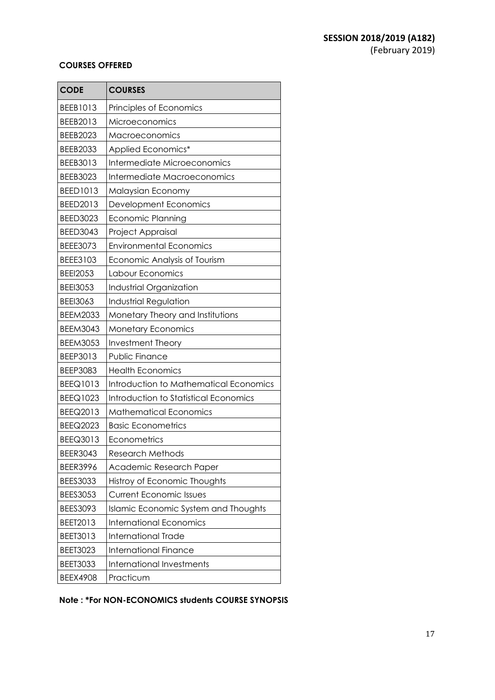## **COURSES OFFERED**

| <b>CODE</b>     | <b>COURSES</b>                         |
|-----------------|----------------------------------------|
| BEEB1013        | Principles of Economics                |
| BEEB2013        | Microeconomics                         |
| <b>BEEB2023</b> | Macroeconomics                         |
| <b>BEEB2033</b> | Applied Economics*                     |
| BEEB3013        | Intermediate Microeconomics            |
| BEEB3023        | Intermediate Macroeconomics            |
| <b>BEED1013</b> | Malaysian Economy                      |
| BEED2013        | Development Economics                  |
| <b>BEED3023</b> | <b>Economic Planning</b>               |
| <b>BEED3043</b> | Project Appraisal                      |
| <b>BEEE3073</b> | <b>Environmental Economics</b>         |
| BEEE3103        | Economic Analysis of Tourism           |
| <b>BEEI2053</b> | Labour Economics                       |
| <b>BEEI3053</b> | Industrial Organization                |
| <b>BEEI3063</b> | <b>Industrial Regulation</b>           |
| <b>BEEM2033</b> | Monetary Theory and Institutions       |
| <b>BEEM3043</b> | <b>Monetary Economics</b>              |
| <b>BEEM3053</b> | <b>Investment Theory</b>               |
| BEEP3013        | <b>Public Finance</b>                  |
| <b>BEEP3083</b> | <b>Health Economics</b>                |
| <b>BEEQ1013</b> | Introduction to Mathematical Economics |
| BEEQ1023        | Introduction to Statistical Economics  |
| BEEQ2013        | <b>Mathematical Economics</b>          |
| <b>BEEQ2023</b> | <b>Basic Econometrics</b>              |
| BEEQ3013        | Econometrics                           |
| <b>BEER3043</b> | <b>Research Methods</b>                |
| <b>BEER3996</b> | Academic Research Paper                |
| <b>BEES3033</b> | Histroy of Economic Thoughts           |
| <b>BEES3053</b> | <b>Current Economic Issues</b>         |
| BEES3093        | Islamic Economic System and Thoughts   |
| BEET2013        | <b>International Economics</b>         |
| BEET3013        | <b>International Trade</b>             |
| <b>BEET3023</b> | <b>International Finance</b>           |
| <b>BEET3033</b> | <b>International Investments</b>       |
| <b>BEEX4908</b> | Practicum                              |

**Note : \*For NON-ECONOMICS students COURSE SYNOPSIS**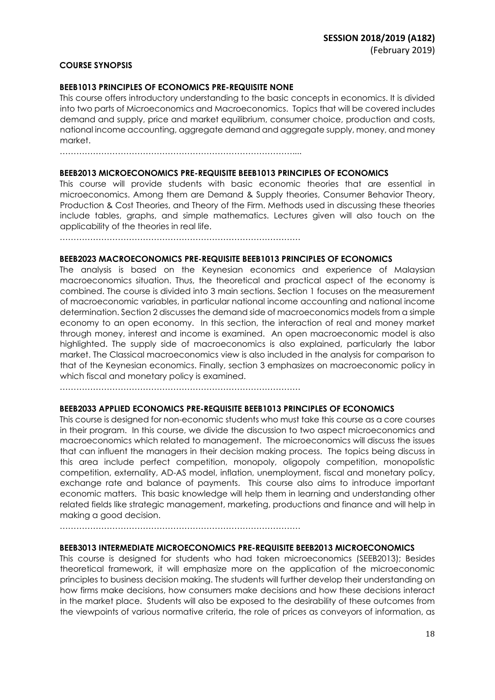#### **COURSE SYNOPSIS**

#### **BEEB1013 PRINCIPLES OF ECONOMICS PRE-REQUISITE NONE**

This course offers introductory understanding to the basic concepts in economics. It is divided into two parts of Microeconomics and Macroeconomics. Topics that will be covered includes demand and supply, price and market equilibrium, consumer choice, production and costs, national income accounting, aggregate demand and aggregate supply, money, and money market.

…………………………………………………………………………....

#### **BEEB2013 MICROECONOMICS PRE-REQUISITE BEEB1013 PRINCIPLES OF ECONOMICS**

This course will provide students with basic economic theories that are essential in microeconomics. Among them are Demand & Supply theories, Consumer Behavior Theory, Production & Cost Theories, and Theory of the Firm. Methods used in discussing these theories include tables, graphs, and simple mathematics. Lectures given will also touch on the applicability of the theories in real life.

……………………………………………………………………………

#### **BEEB2023 MACROECONOMICS PRE-REQUISITE BEEB1013 PRINCIPLES OF ECONOMICS**

The analysis is based on the Keynesian economics and experience of Malaysian macroeconomics situation. Thus, the theoretical and practical aspect of the economy is combined. The course is divided into 3 main sections. Section 1 focuses on the measurement of macroeconomic variables, in particular national income accounting and national income determination. Section 2 discusses the demand side of macroeconomics models from a simple economy to an open economy. In this section, the interaction of real and money market through money, interest and income is examined. An open macroeconomic model is also highlighted. The supply side of macroeconomics is also explained, particularly the labor market. The Classical macroeconomics view is also included in the analysis for comparison to that of the Keynesian economics. Finally, section 3 emphasizes on macroeconomic policy in which fiscal and monetary policy is examined.

……………………………………………………………………………

#### **BEEB2033 APPLIED ECONOMICS PRE-REQUISITE BEEB1013 PRINCIPLES OF ECONOMICS**

This course is designed for non-economic students who must take this course as a core courses in their program. In this course, we divide the discussion to two aspect microeconomics and macroeconomics which related to management. The microeconomics will discuss the issues that can influent the managers in their decision making process. The topics being discuss in this area include perfect competition, monopoly, oligopoly competition, monopolistic competition, externality, AD-AS model, inflation, unemployment, fiscal and monetary policy, exchange rate and balance of payments. This course also aims to introduce important economic matters. This basic knowledge will help them in learning and understanding other related fields like strategic management, marketing, productions and finance and will help in making a good decision.

……………………………………………………………………………

#### **BEEB3013 INTERMEDIATE MICROECONOMICS PRE-REQUISITE BEEB2013 MICROECONOMICS**

This course is designed for students who had taken microeconomics (SEEB2013); Besides theoretical framework, it will emphasize more on the application of the microeconomic principles to business decision making. The students will further develop their understanding on how firms make decisions, how consumers make decisions and how these decisions interact in the market place. Students will also be exposed to the desirability of these outcomes from the viewpoints of various normative criteria, the role of prices as conveyors of information, as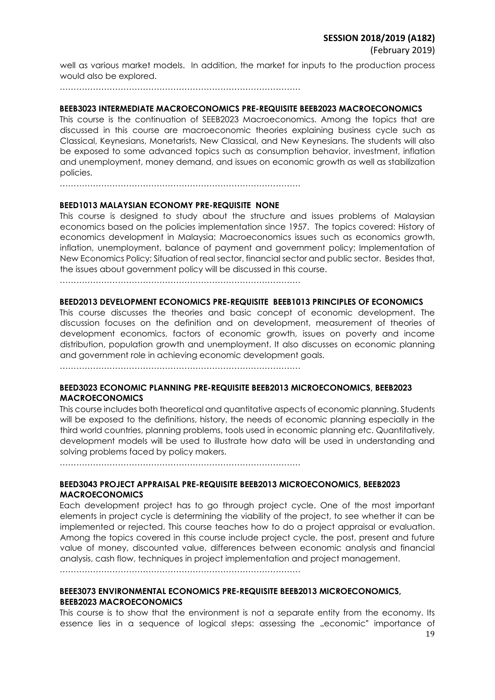well as various market models. In addition, the market for inputs to the production process would also be explored.

……………………………………………………………………………

#### **BEEB3023 INTERMEDIATE MACROECONOMICS PRE-REQUISITE BEEB2023 MACROECONOMICS**

This course is the continuation of SEEB2023 Macroeconomics. Among the topics that are discussed in this course are macroeconomic theories explaining business cycle such as Classical, Keynesians, Monetarists, New Classical, and New Keynesians. The students will also be exposed to some advanced topics such as consumption behavior, investment, inflation and unemployment, money demand, and issues on economic growth as well as stabilization policies.

……………………………………………………………………………

#### **BEED1013 MALAYSIAN ECONOMY PRE-REQUISITE NONE**

This course is designed to study about the structure and issues problems of Malaysian economics based on the policies implementation since 1957. The topics covered: History of economics development in Malaysia; Macroeconomics issues such as economics growth, inflation, unemployment, balance of payment and government policy; Implementation of New Economics Policy; Situation of real sector, financial sector and public sector. Besides that, the issues about government policy will be discussed in this course.

……………………………………………………………………………

## **BEED2013 DEVELOPMENT ECONOMICS PRE-REQUISITE BEEB1013 PRINCIPLES OF ECONOMICS**

This course discusses the theories and basic concept of economic development. The discussion focuses on the definition and on development, measurement of theories of development economics, factors of economic growth, issues on poverty and income distribution, population growth and unemployment. It also discusses on economic planning and government role in achieving economic development goals.

……………………………………………………………………………

#### **BEED3023 ECONOMIC PLANNING PRE-REQUISITE BEEB2013 MICROECONOMICS, BEEB2023 MACROECONOMICS**

This course includes both theoretical and quantitative aspects of economic planning. Students will be exposed to the definitions, history, the needs of economic planning especially in the third world countries, planning problems, tools used in economic planning etc. Quantitatively, development models will be used to illustrate how data will be used in understanding and solving problems faced by policy makers.

……………………………………………………………………………

## **BEED3043 PROJECT APPRAISAL PRE-REQUISITE BEEB2013 MICROECONOMICS, BEEB2023 MACROECONOMICS**

Each development project has to go through project cycle. One of the most important elements in project cycle is determining the viability of the project, to see whether it can be implemented or rejected. This course teaches how to do a project appraisal or evaluation. Among the topics covered in this course include project cycle, the post, present and future value of money, discounted value, differences between economic analysis and financial analysis, cash flow, techniques in project implementation and project management.

……………………………………………………………………………

## **BEEE3073 ENVIRONMENTAL ECONOMICS PRE-REQUISITE BEEB2013 MICROECONOMICS, BEEB2023 MACROECONOMICS**

This course is to show that the environment is not a separate entity from the economy. Its essence lies in a sequence of logical steps: assessing the "economic" importance of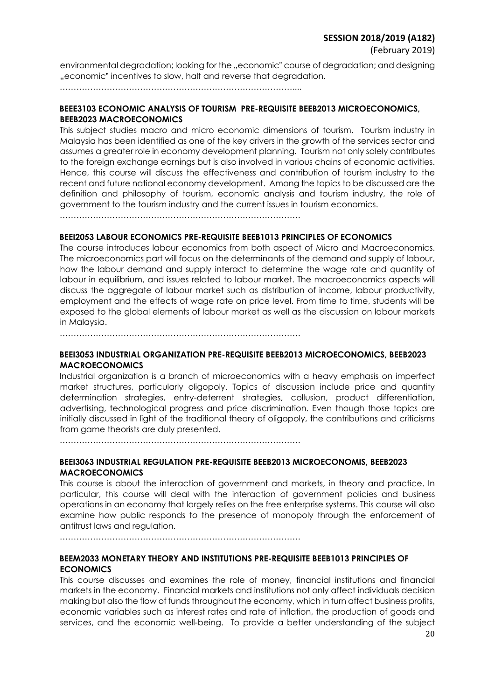environmental degradation; looking for the "economic" course of degradation; and designing "economic" incentives to slow, halt and reverse that degradation.

…………………………………………………………………………....

## **BEEE3103 ECONOMIC ANALYSIS OF TOURISM PRE-REQUISITE BEEB2013 MICROECONOMICS, BEEB2023 MACROECONOMICS**

This subject studies macro and micro economic dimensions of tourism. Tourism industry in Malaysia has been identified as one of the key drivers in the growth of the services sector and assumes a greater role in economy development planning. Tourism not only solely contributes to the foreign exchange earnings but is also involved in various chains of economic activities. Hence, this course will discuss the effectiveness and contribution of tourism industry to the recent and future national economy development. Among the topics to be discussed are the definition and philosophy of tourism, economic analysis and tourism industry, the role of government to the tourism industry and the current issues in tourism economics.

……………………………………………………………………………

## **BEEI2053 LABOUR ECONOMICS PRE-REQUISITE BEEB1013 PRINCIPLES OF ECONOMICS**

The course introduces labour economics from both aspect of Micro and Macroeconomics. The microeconomics part will focus on the determinants of the demand and supply of labour, how the labour demand and supply interact to determine the wage rate and quantity of labour in equilibrium, and issues related to labour market. The macroeconomics aspects will discuss the aggregate of labour market such as distribution of income, labour productivity, employment and the effects of wage rate on price level. From time to time, students will be exposed to the global elements of labour market as well as the discussion on labour markets in Malaysia.

……………………………………………………………………………

## **BEEI3053 INDUSTRIAL ORGANIZATION PRE-REQUISITE BEEB2013 MICROECONOMICS, BEEB2023 MACROECONOMICS**

Industrial organization is a branch of microeconomics with a heavy emphasis on imperfect market structures, particularly oligopoly. Topics of discussion include price and quantity determination strategies, entry-deterrent strategies, collusion, product differentiation, advertising, technological progress and price discrimination. Even though those topics are initially discussed in light of the traditional theory of oligopoly, the contributions and criticisms from game theorists are duly presented.

……………………………………………………………………………

## **BEEI3063 INDUSTRIAL REGULATION PRE-REQUISITE BEEB2013 MICROECONOMIS, BEEB2023 MACROECONOMICS**

This course is about the interaction of government and markets, in theory and practice. In particular, this course will deal with the interaction of government policies and business operations in an economy that largely relies on the free enterprise systems. This course will also examine how public responds to the presence of monopoly through the enforcement of antitrust laws and regulation.

……………………………………………………………………………

## **BEEM2033 MONETARY THEORY AND INSTITUTIONS PRE-REQUISITE BEEB1013 PRINCIPLES OF ECONOMICS**

This course discusses and examines the role of money, financial institutions and financial markets in the economy. Financial markets and institutions not only affect individuals decision making but also the flow of funds throughout the economy, which in turn affect business profits, economic variables such as interest rates and rate of inflation, the production of goods and services, and the economic well-being. To provide a better understanding of the subject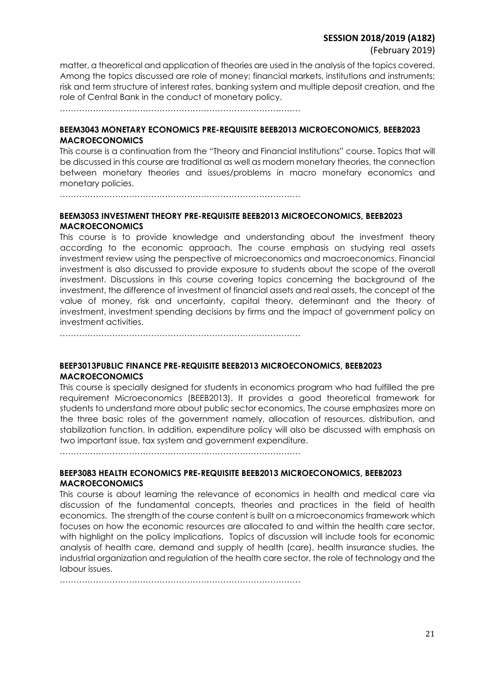(February 2019)

matter, a theoretical and application of theories are used in the analysis of the topics covered. Among the topics discussed are role of money; financial markets, institutions and instruments; risk and term structure of interest rates, banking system and multiple deposit creation, and the role of Central Bank in the conduct of monetary policy.

 $\mathcal{L}^{(n)}$ 

## **BEEM3043 MONETARY ECONOMICS PRE-REQUISITE BEEB2013 MICROECONOMICS, BEEB2023 MACROECONOMICS**

This course is a continuation from the "Theory and Financial Institutions" course. Topics that will be discussed in this course are traditional as well as modern monetary theories, the connection between monetary theories and issues/problems in macro monetary economics and monetary policies.

……………………………………………………………………………

## **BEEM3053 INVESTMENT THEORY PRE-REQUISITE BEEB2013 MICROECONOMICS, BEEB2023 MACROECONOMICS**

This course is to provide knowledge and understanding about the investment theory according to the economic approach. The course emphasis on studying real assets investment review using the perspective of microeconomics and macroeconomics. Financial investment is also discussed to provide exposure to students about the scope of the overall investment. Discussions in this course covering topics concerning the background of the investment, the difference of investment of financial assets and real assets, the concept of the value of money, risk and uncertainty, capital theory, determinant and the theory of investment, investment spending decisions by firms and the impact of government policy on investment activities.

……………………………………………………………………………

## **BEEP3013PUBLIC FINANCE PRE-REQUISITE BEEB2013 MICROECONOMICS, BEEB2023 MACROECONOMICS**

This course is specially designed for students in economics program who had fulfilled the pre requirement Microeconomics (BEEB2013). It provides a good theoretical framework for students to understand more about public sector economics. The course emphasizes more on the three basic roles of the government namely, allocation of resources, distribution, and stabilization function. In addition, expenditure policy will also be discussed with emphasis on two important issue, tax system and government expenditure.

……………………………………………………………………………

## **BEEP3083 HEALTH ECONOMICS PRE-REQUISITE BEEB2013 MICROECONOMICS, BEEB2023 MACROECONOMICS**

This course is about learning the relevance of economics in health and medical care via discussion of the fundamental concepts, theories and practices in the field of health economics. The strength of the course content is built on a microeconomics framework which focuses on how the economic resources are allocated to and within the health care sector, with highlight on the policy implications. Topics of discussion will include tools for economic analysis of health care, demand and supply of health (care), health insurance studies, the industrial organization and regulation of the health care sector, the role of technology and the labour issues.

……………………………………………………………………………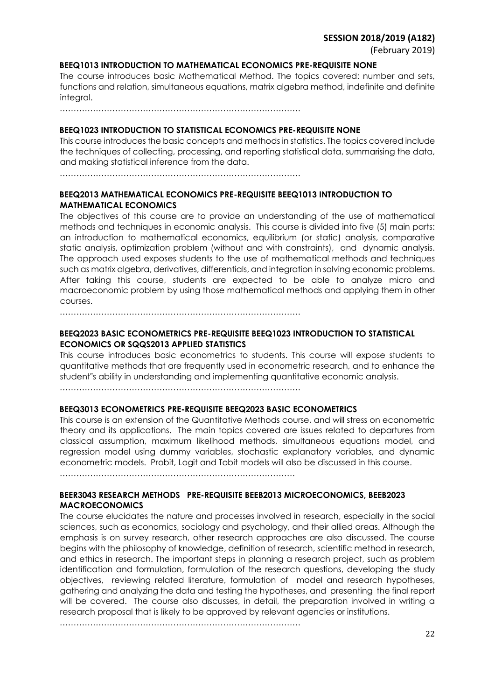#### **BEEQ1013 INTRODUCTION TO MATHEMATICAL ECONOMICS PRE-REQUISITE NONE**

The course introduces basic Mathematical Method. The topics covered: number and sets, functions and relation, simultaneous equations, matrix algebra method, indefinite and definite integral.

……………………………………………………………………………

#### **BEEQ1023 INTRODUCTION TO STATISTICAL ECONOMICS PRE-REQUISITE NONE**

This course introduces the basic concepts and methods in statistics. The topics covered include the techniques of collecting, processing, and reporting statistical data, summarising the data, and making statistical inference from the data.

……………………………………………………………………………

## **BEEQ2013 MATHEMATICAL ECONOMICS PRE-REQUISITE BEEQ1013 INTRODUCTION TO MATHEMATICAL ECONOMICS**

The objectives of this course are to provide an understanding of the use of mathematical methods and techniques in economic analysis. This course is divided into five (5) main parts: an introduction to mathematical economics, equilibrium (or static) analysis, comparative static analysis, optimization problem (without and with constraints), and dynamic analysis. The approach used exposes students to the use of mathematical methods and techniques such as matrix algebra, derivatives, differentials, and integration in solving economic problems. After taking this course, students are expected to be able to analyze micro and macroeconomic problem by using those mathematical methods and applying them in other courses.

……………………………………………………………………………

## **BEEQ2023 BASIC ECONOMETRICS PRE-REQUISITE BEEQ1023 INTRODUCTION TO STATISTICAL ECONOMICS OR SQQS2013 APPLIED STATISTICS**

This course introduces basic econometrics to students. This course will expose students to quantitative methods that are frequently used in econometric research, and to enhance the student"s ability in understanding and implementing quantitative economic analysis.

……………………………………………………………………………

#### **BEEQ3013 ECONOMETRICS PRE-REQUISITE BEEQ2023 BASIC ECONOMETRICS**

This course is an extension of the Quantitative Methods course, and will stress on econometric theory and its applications. The main topics covered are issues related to departures from classical assumption, maximum likelihood methods, simultaneous equations model, and regression model using dummy variables, stochastic explanatory variables, and dynamic econometric models. Probit, Logit and Tobit models will also be discussed in this course.

………………………………………………………………………….

## **BEER3043 RESEARCH METHODS PRE-REQUISITE BEEB2013 MICROECONOMICS, BEEB2023 MACROECONOMICS**

The course elucidates the nature and processes involved in research, especially in the social sciences, such as economics, sociology and psychology, and their allied areas. Although the emphasis is on survey research, other research approaches are also discussed. The course begins with the philosophy of knowledge, definition of research, scientific method in research, and ethics in research. The important steps in planning a research project, such as problem identification and formulation, formulation of the research questions, developing the study objectives, reviewing related literature, formulation of model and research hypotheses, gathering and analyzing the data and testing the hypotheses, and presenting the final report will be covered. The course also discusses, in detail, the preparation involved in writing a research proposal that is likely to be approved by relevant agencies or institutions.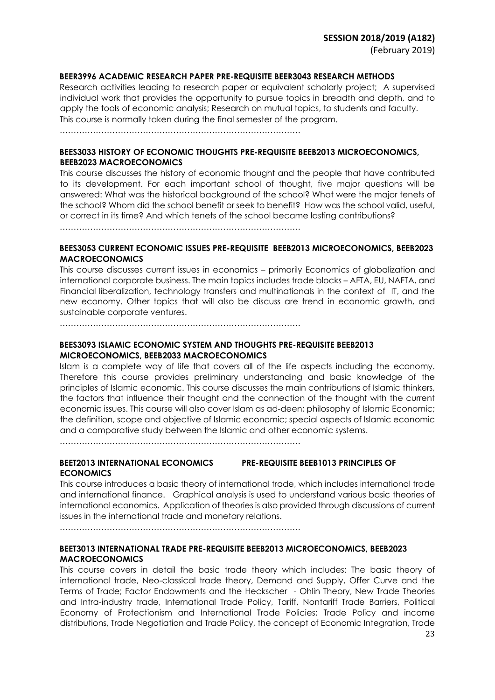## **BEER3996 ACADEMIC RESEARCH PAPER PRE-REQUISITE BEER3043 RESEARCH METHODS**

Research activities leading to research paper or equivalent scholarly project; A supervised individual work that provides the opportunity to pursue topics in breadth and depth, and to apply the tools of economic analysis; Research on mutual topics, to students and faculty. This course is normally taken during the final semester of the program.

……………………………………………………………………………

## **BEES3033 HISTORY OF ECONOMIC THOUGHTS PRE-REQUISITE BEEB2013 MICROECONOMICS, BEEB2023 MACROECONOMICS**

This course discusses the history of economic thought and the people that have contributed to its development. For each important school of thought, five major questions will be answered: What was the historical background of the school? What were the major tenets of the school? Whom did the school benefit or seek to benefit? How was the school valid, useful, or correct in its time? And which tenets of the school became lasting contributions?

……………………………………………………………………………

## **BEES3053 CURRENT ECONOMIC ISSUES PRE-REQUISITE BEEB2013 MICROECONOMICS, BEEB2023 MACROECONOMICS**

This course discusses current issues in economics – primarily Economics of globalization and international corporate business. The main topics includes trade blocks – AFTA, EU, NAFTA, and Financial liberalization, technology transfers and multinationals in the context of IT, and the new economy. Other topics that will also be discuss are trend in economic growth, and sustainable corporate ventures.

……………………………………………………………………………

## **BEES3093 ISLAMIC ECONOMIC SYSTEM AND THOUGHTS PRE-REQUISITE BEEB2013 MICROECONOMICS, BEEB2033 MACROECONOMICS**

Islam is a complete way of life that covers all of the life aspects including the economy. Therefore this course provides preliminary understanding and basic knowledge of the principles of Islamic economic. This course discusses the main contributions of Islamic thinkers, the factors that influence their thought and the connection of the thought with the current economic issues. This course will also cover Islam as ad-deen; philosophy of Islamic Economic; the definition, scope and objective of Islamic economic; special aspects of Islamic economic and a comparative study between the Islamic and other economic systems.

……………………………………………………………………………

## **BEET2013 INTERNATIONAL ECONOMICS PRE-REQUISITE BEEB1013 PRINCIPLES OF ECONOMICS**

This course introduces a basic theory of international trade, which includes international trade and international finance. Graphical analysis is used to understand various basic theories of international economics. Application of theories is also provided through discussions of current issues in the international trade and monetary relations.

……………………………………………………………………………

## **BEET3013 INTERNATIONAL TRADE PRE-REQUISITE BEEB2013 MICROECONOMICS, BEEB2023 MACROECONOMICS**

This course covers in detail the basic trade theory which includes: The basic theory of international trade, Neo-classical trade theory, Demand and Supply, Offer Curve and the Terms of Trade; Factor Endowments and the Heckscher - Ohlin Theory, New Trade Theories and Intra-industry trade, International Trade Policy, Tariff, Nontariff Trade Barriers, Political Economy of Protectionism and International Trade Policies; Trade Policy and income distributions, Trade Negotiation and Trade Policy, the concept of Economic Integration, Trade